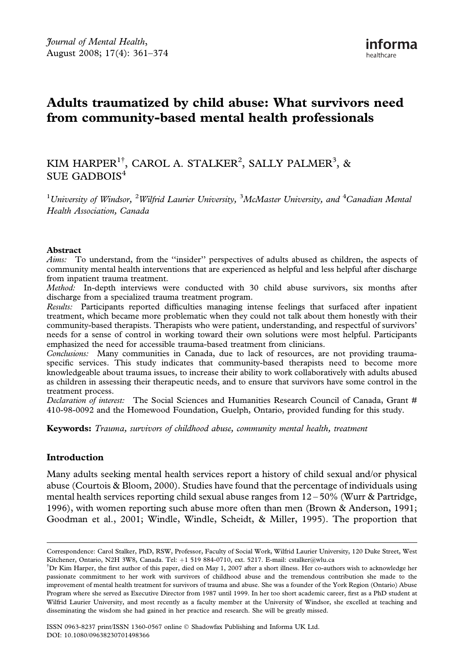# Adults traumatized by child abuse: What survivors need from community-based mental health professionals

## KIM HARPER $^{1\dagger}$ , CAROL A. STALKER $^2$ , SALLY PALMER $^3$ , &  $SI$ JE GADBOIS<sup>4</sup>

<sup>1</sup>University of Windsor, <sup>2</sup>Wilfrid Laurier University, <sup>3</sup>McMaster University, and <sup>4</sup>Canadian Mental Health Association, Canada

#### Abstract

Aims: To understand, from the "insider" perspectives of adults abused as children, the aspects of community mental health interventions that are experienced as helpful and less helpful after discharge from inpatient trauma treatment.

Method: In-depth interviews were conducted with 30 child abuse survivors, six months after discharge from a specialized trauma treatment program.

Results: Participants reported difficulties managing intense feelings that surfaced after inpatient treatment, which became more problematic when they could not talk about them honestly with their community-based therapists. Therapists who were patient, understanding, and respectful of survivors' needs for a sense of control in working toward their own solutions were most helpful. Participants emphasized the need for accessible trauma-based treatment from clinicians.

Conclusions: Many communities in Canada, due to lack of resources, are not providing traumaspecific services. This study indicates that community-based therapists need to become more knowledgeable about trauma issues, to increase their ability to work collaboratively with adults abused as children in assessing their therapeutic needs, and to ensure that survivors have some control in the treatment process.

Declaration of interest: The Social Sciences and Humanities Research Council of Canada, Grant # 410-98-0092 and the Homewood Foundation, Guelph, Ontario, provided funding for this study.

Keywords: Trauma, survivors of childhood abuse, community mental health, treatment

## Introduction

Many adults seeking mental health services report a history of child sexual and/or physical abuse (Courtois & Bloom, 2000). Studies have found that the percentage of individuals using mental health services reporting child sexual abuse ranges from  $12-50\%$  (Wurr & Partridge, 1996), with women reporting such abuse more often than men (Brown & Anderson, 1991; Goodman et al., 2001; Windle, Windle, Scheidt, & Miller, 1995). The proportion that

Correspondence: Carol Stalker, PhD, RSW, Professor, Faculty of Social Work, Wilfrid Laurier University, 120 Duke Street, West Kitchener, Ontario, N2H 3W8, Canada. Tel: +1 519 884-0710, ext. 5217. E-mail: cstalker@wlu.ca

<sup>&</sup>lt;sup>†</sup>Dr Kim Harper, the first author of this paper, died on May 1, 2007 after a short illness. Her co-authors wish to acknowledge her passionate commitment to her work with survivors of childhood abuse and the tremendous contribution she made to the improvement of mental health treatment for survivors of trauma and abuse. She was a founder of the York Region (Ontario) Abuse Program where she served as Executive Director from 1987 until 1999. In her too short academic career, first as a PhD student at Wilfrid Laurier University, and most recently as a faculty member at the University of Windsor, she excelled at teaching and disseminating the wisdom she had gained in her practice and research. She will be greatly missed.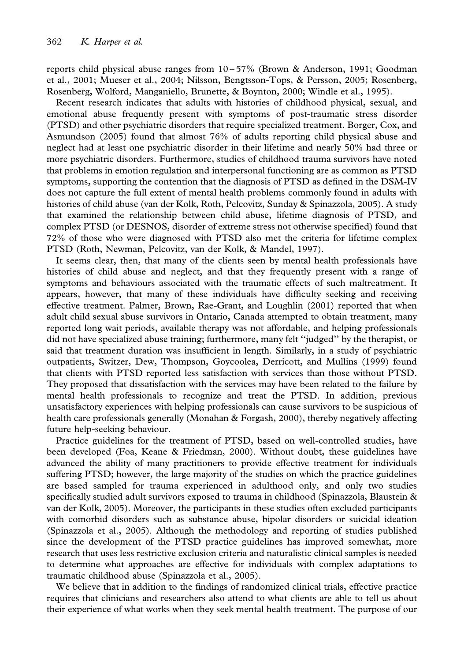reports child physical abuse ranges from 10 – 57% (Brown & Anderson, 1991; Goodman et al., 2001; Mueser et al., 2004; Nilsson, Bengtsson-Tops, & Persson, 2005; Rosenberg, Rosenberg, Wolford, Manganiello, Brunette, & Boynton, 2000; Windle et al., 1995).

Recent research indicates that adults with histories of childhood physical, sexual, and emotional abuse frequently present with symptoms of post-traumatic stress disorder (PTSD) and other psychiatric disorders that require specialized treatment. Borger, Cox, and Asmundson (2005) found that almost 76% of adults reporting child physical abuse and neglect had at least one psychiatric disorder in their lifetime and nearly 50% had three or more psychiatric disorders. Furthermore, studies of childhood trauma survivors have noted that problems in emotion regulation and interpersonal functioning are as common as PTSD symptoms, supporting the contention that the diagnosis of PTSD as defined in the DSM-IV does not capture the full extent of mental health problems commonly found in adults with histories of child abuse (van der Kolk, Roth, Pelcovitz, Sunday & Spinazzola, 2005). A study that examined the relationship between child abuse, lifetime diagnosis of PTSD, and complex PTSD (or DESNOS, disorder of extreme stress not otherwise specified) found that 72% of those who were diagnosed with PTSD also met the criteria for lifetime complex PTSD (Roth, Newman, Pelcovitz, van der Kolk, & Mandel, 1997).

It seems clear, then, that many of the clients seen by mental health professionals have histories of child abuse and neglect, and that they frequently present with a range of symptoms and behaviours associated with the traumatic effects of such maltreatment. It appears, however, that many of these individuals have difficulty seeking and receiving effective treatment. Palmer, Brown, Rae-Grant, and Loughlin (2001) reported that when adult child sexual abuse survivors in Ontario, Canada attempted to obtain treatment, many reported long wait periods, available therapy was not affordable, and helping professionals did not have specialized abuse training; furthermore, many felt ''judged'' by the therapist, or said that treatment duration was insufficient in length. Similarly, in a study of psychiatric outpatients, Switzer, Dew, Thompson, Goycoolea, Derricott, and Mullins (1999) found that clients with PTSD reported less satisfaction with services than those without PTSD. They proposed that dissatisfaction with the services may have been related to the failure by mental health professionals to recognize and treat the PTSD. In addition, previous unsatisfactory experiences with helping professionals can cause survivors to be suspicious of health care professionals generally (Monahan & Forgash, 2000), thereby negatively affecting future help-seeking behaviour.

Practice guidelines for the treatment of PTSD, based on well-controlled studies, have been developed (Foa, Keane & Friedman, 2000). Without doubt, these guidelines have advanced the ability of many practitioners to provide effective treatment for individuals suffering PTSD; however, the large majority of the studies on which the practice guidelines are based sampled for trauma experienced in adulthood only, and only two studies specifically studied adult survivors exposed to trauma in childhood (Spinazzola, Blaustein & van der Kolk, 2005). Moreover, the participants in these studies often excluded participants with comorbid disorders such as substance abuse, bipolar disorders or suicidal ideation (Spinazzola et al., 2005). Although the methodology and reporting of studies published since the development of the PTSD practice guidelines has improved somewhat, more research that uses less restrictive exclusion criteria and naturalistic clinical samples is needed to determine what approaches are effective for individuals with complex adaptations to traumatic childhood abuse (Spinazzola et al., 2005).

We believe that in addition to the findings of randomized clinical trials, effective practice requires that clinicians and researchers also attend to what clients are able to tell us about their experience of what works when they seek mental health treatment. The purpose of our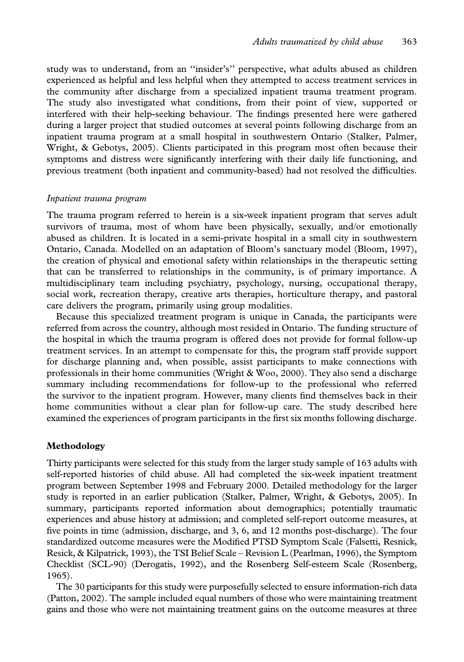study was to understand, from an ''insider's'' perspective, what adults abused as children experienced as helpful and less helpful when they attempted to access treatment services in the community after discharge from a specialized inpatient trauma treatment program. The study also investigated what conditions, from their point of view, supported or interfered with their help-seeking behaviour. The findings presented here were gathered during a larger project that studied outcomes at several points following discharge from an inpatient trauma program at a small hospital in southwestern Ontario (Stalker, Palmer, Wright, & Gebotys, 2005). Clients participated in this program most often because their symptoms and distress were significantly interfering with their daily life functioning, and previous treatment (both inpatient and community-based) had not resolved the difficulties.

#### Inpatient trauma program

The trauma program referred to herein is a six-week inpatient program that serves adult survivors of trauma, most of whom have been physically, sexually, and/or emotionally abused as children. It is located in a semi-private hospital in a small city in southwestern Ontario, Canada. Modelled on an adaptation of Bloom's sanctuary model (Bloom, 1997), the creation of physical and emotional safety within relationships in the therapeutic setting that can be transferred to relationships in the community, is of primary importance. A multidisciplinary team including psychiatry, psychology, nursing, occupational therapy, social work, recreation therapy, creative arts therapies, horticulture therapy, and pastoral care delivers the program, primarily using group modalities.

Because this specialized treatment program is unique in Canada, the participants were referred from across the country, although most resided in Ontario. The funding structure of the hospital in which the trauma program is offered does not provide for formal follow-up treatment services. In an attempt to compensate for this, the program staff provide support for discharge planning and, when possible, assist participants to make connections with professionals in their home communities (Wright & Woo, 2000). They also send a discharge summary including recommendations for follow-up to the professional who referred the survivor to the inpatient program. However, many clients find themselves back in their home communities without a clear plan for follow-up care. The study described here examined the experiences of program participants in the first six months following discharge.

#### Methodology

Thirty participants were selected for this study from the larger study sample of 163 adults with self-reported histories of child abuse. All had completed the six-week inpatient treatment program between September 1998 and February 2000. Detailed methodology for the larger study is reported in an earlier publication (Stalker, Palmer, Wright, & Gebotys, 2005). In summary, participants reported information about demographics; potentially traumatic experiences and abuse history at admission; and completed self-report outcome measures, at five points in time (admission, discharge, and 3, 6, and 12 months post-discharge). The four standardized outcome measures were the Modified PTSD Symptom Scale (Falsetti, Resnick, Resick, & Kilpatrick, 1993), the TSI Belief Scale – Revision L (Pearlman, 1996), the Symptom Checklist (SCL-90) (Derogatis, 1992), and the Rosenberg Self-esteem Scale (Rosenberg, 1965).

The 30 participants for this study were purposefully selected to ensure information-rich data (Patton, 2002). The sample included equal numbers of those who were maintaining treatment gains and those who were not maintaining treatment gains on the outcome measures at three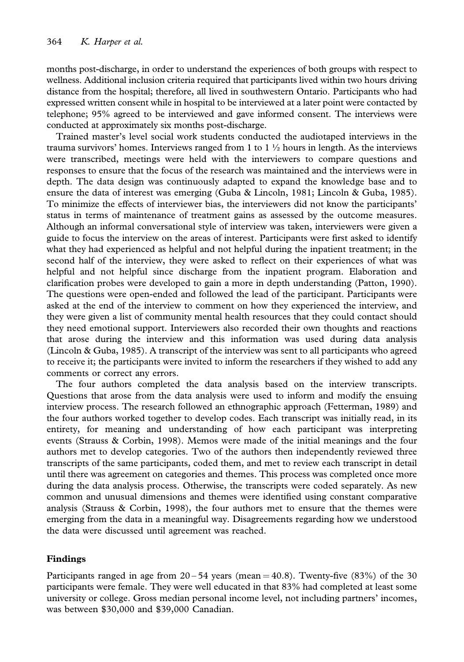months post-discharge, in order to understand the experiences of both groups with respect to wellness. Additional inclusion criteria required that participants lived within two hours driving distance from the hospital; therefore, all lived in southwestern Ontario. Participants who had expressed written consent while in hospital to be interviewed at a later point were contacted by telephone; 95% agreed to be interviewed and gave informed consent. The interviews were conducted at approximately six months post-discharge.

Trained master's level social work students conducted the audiotaped interviews in the trauma survivors' homes. Interviews ranged from 1 to 1  $\frac{1}{2}$  hours in length. As the interviews were transcribed, meetings were held with the interviewers to compare questions and responses to ensure that the focus of the research was maintained and the interviews were in depth. The data design was continuously adapted to expand the knowledge base and to ensure the data of interest was emerging (Guba & Lincoln, 1981; Lincoln & Guba, 1985). To minimize the effects of interviewer bias, the interviewers did not know the participants' status in terms of maintenance of treatment gains as assessed by the outcome measures. Although an informal conversational style of interview was taken, interviewers were given a guide to focus the interview on the areas of interest. Participants were first asked to identify what they had experienced as helpful and not helpful during the inpatient treatment; in the second half of the interview, they were asked to reflect on their experiences of what was helpful and not helpful since discharge from the inpatient program. Elaboration and clarification probes were developed to gain a more in depth understanding (Patton, 1990). The questions were open-ended and followed the lead of the participant. Participants were asked at the end of the interview to comment on how they experienced the interview, and they were given a list of community mental health resources that they could contact should they need emotional support. Interviewers also recorded their own thoughts and reactions that arose during the interview and this information was used during data analysis (Lincoln & Guba, 1985). A transcript of the interview was sent to all participants who agreed to receive it; the participants were invited to inform the researchers if they wished to add any comments or correct any errors.

The four authors completed the data analysis based on the interview transcripts. Questions that arose from the data analysis were used to inform and modify the ensuing interview process. The research followed an ethnographic approach (Fetterman, 1989) and the four authors worked together to develop codes. Each transcript was initially read, in its entirety, for meaning and understanding of how each participant was interpreting events (Strauss & Corbin, 1998). Memos were made of the initial meanings and the four authors met to develop categories. Two of the authors then independently reviewed three transcripts of the same participants, coded them, and met to review each transcript in detail until there was agreement on categories and themes. This process was completed once more during the data analysis process. Otherwise, the transcripts were coded separately. As new common and unusual dimensions and themes were identified using constant comparative analysis (Strauss  $\&$  Corbin, 1998), the four authors met to ensure that the themes were emerging from the data in a meaningful way. Disagreements regarding how we understood the data were discussed until agreement was reached.

## Findings

Participants ranged in age from  $20 - 54$  years (mean  $= 40.8$ ). Twenty-five (83%) of the 30 participants were female. They were well educated in that 83% had completed at least some university or college. Gross median personal income level, not including partners' incomes, was between \$30,000 and \$39,000 Canadian.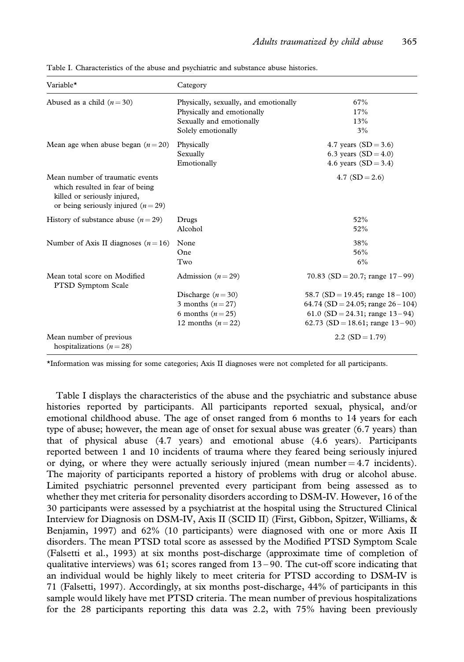| Variable*                                                                                                                                 | Category                                                                                                              |                                                                                                                                                        |
|-------------------------------------------------------------------------------------------------------------------------------------------|-----------------------------------------------------------------------------------------------------------------------|--------------------------------------------------------------------------------------------------------------------------------------------------------|
| Abused as a child $(n=30)$                                                                                                                | Physically, sexually, and emotionally<br>Physically and emotionally<br>Sexually and emotionally<br>Solely emotionally | 67%<br>17%<br>13%<br>3%                                                                                                                                |
| Mean age when abuse began $(n=20)$                                                                                                        | Physically<br>Sexually<br>Emotionally                                                                                 | 4.7 years $(SD = 3.6)$<br>6.3 years $(SD = 4.0)$<br>4.6 years $(SD = 3.4)$                                                                             |
| Mean number of traumatic events<br>which resulted in fear of being<br>killed or seriously injured,<br>or being seriously injured $(n=29)$ |                                                                                                                       | 4.7 $(SD = 2.6)$                                                                                                                                       |
| History of substance abuse $(n=29)$                                                                                                       | Drugs<br>Alcohol                                                                                                      | 52%<br>52%                                                                                                                                             |
| Number of Axis II diagnoses $(n=16)$                                                                                                      | None<br>One<br>Two                                                                                                    | 38%<br>56%<br>6%                                                                                                                                       |
| Mean total score on Modified<br>PTSD Symptom Scale                                                                                        | Admission $(n=29)$                                                                                                    | 70.83 (SD = 20.7; range $17-99$ )                                                                                                                      |
|                                                                                                                                           | Discharge $(n=30)$<br>3 months $(n=27)$<br>6 months $(n=25)$<br>12 months $(n=22)$                                    | 58.7 (SD = 19.45; range $18-100$ )<br>64.74 (SD = 24.05; range $26 - 104$ )<br>61.0 (SD = 24.31; range $13-94$ )<br>62.73 (SD = 18.61; range $13-90$ ) |
| Mean number of previous<br>hospitalizations $(n=28)$                                                                                      |                                                                                                                       | 2.2 $(SD = 1.79)$                                                                                                                                      |

Table I. Characteristics of the abuse and psychiatric and substance abuse histories.

\*Information was missing for some categories; Axis II diagnoses were not completed for all participants.

Table I displays the characteristics of the abuse and the psychiatric and substance abuse histories reported by participants. All participants reported sexual, physical, and/or emotional childhood abuse. The age of onset ranged from 6 months to 14 years for each type of abuse; however, the mean age of onset for sexual abuse was greater (6.7 years) than that of physical abuse (4.7 years) and emotional abuse (4.6 years). Participants reported between 1 and 10 incidents of trauma where they feared being seriously injured or dying, or where they were actually seriously injured (mean number  $=$  4.7 incidents). The majority of participants reported a history of problems with drug or alcohol abuse. Limited psychiatric personnel prevented every participant from being assessed as to whether they met criteria for personality disorders according to DSM-IV. However, 16 of the 30 participants were assessed by a psychiatrist at the hospital using the Structured Clinical Interview for Diagnosis on DSM-IV, Axis II (SCID II) (First, Gibbon, Spitzer, Williams, & Benjamin, 1997) and 62% (10 participants) were diagnosed with one or more Axis II disorders. The mean PTSD total score as assessed by the Modified PTSD Symptom Scale (Falsetti et al., 1993) at six months post-discharge (approximate time of completion of qualitative interviews) was  $61$ ; scores ranged from  $13 - 90$ . The cut-off score indicating that an individual would be highly likely to meet criteria for PTSD according to DSM-IV is 71 (Falsetti, 1997). Accordingly, at six months post-discharge, 44% of participants in this sample would likely have met PTSD criteria. The mean number of previous hospitalizations for the 28 participants reporting this data was 2.2, with 75% having been previously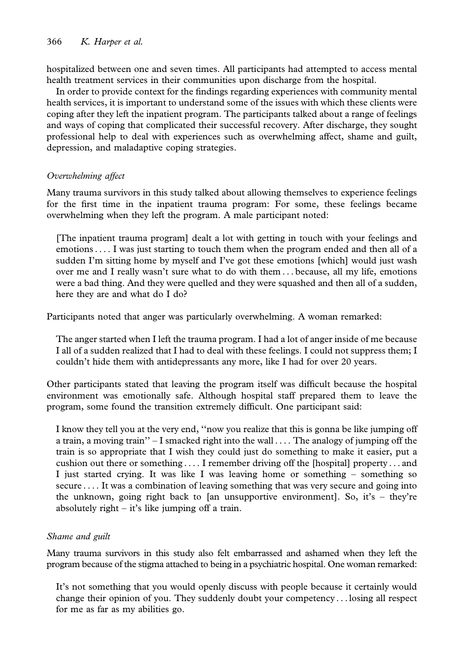hospitalized between one and seven times. All participants had attempted to access mental health treatment services in their communities upon discharge from the hospital.

In order to provide context for the findings regarding experiences with community mental health services, it is important to understand some of the issues with which these clients were coping after they left the inpatient program. The participants talked about a range of feelings and ways of coping that complicated their successful recovery. After discharge, they sought professional help to deal with experiences such as overwhelming affect, shame and guilt, depression, and maladaptive coping strategies.

## Overwhelming affect

Many trauma survivors in this study talked about allowing themselves to experience feelings for the first time in the inpatient trauma program: For some, these feelings became overwhelming when they left the program. A male participant noted:

[The inpatient trauma program] dealt a lot with getting in touch with your feelings and emotions . . . . I was just starting to touch them when the program ended and then all of a sudden I'm sitting home by myself and I've got these emotions [which] would just wash over me and I really wasn't sure what to do with them . . . because, all my life, emotions were a bad thing. And they were quelled and they were squashed and then all of a sudden, here they are and what do I do?

Participants noted that anger was particularly overwhelming. A woman remarked:

The anger started when I left the trauma program. I had a lot of anger inside of me because I all of a sudden realized that I had to deal with these feelings. I could not suppress them; I couldn't hide them with antidepressants any more, like I had for over 20 years.

Other participants stated that leaving the program itself was difficult because the hospital environment was emotionally safe. Although hospital staff prepared them to leave the program, some found the transition extremely difficult. One participant said:

I know they tell you at the very end, ''now you realize that this is gonna be like jumping off a train, a moving train''  $-1$  smacked right into the wall ... The analogy of jumping off the train is so appropriate that I wish they could just do something to make it easier, put a cushion out there or something . . . . I remember driving off the [hospital] property . . . and I just started crying. It was like I was leaving home or something – something so secure . . . . It was a combination of leaving something that was very secure and going into the unknown, going right back to [an unsupportive environment]. So, it's – they're absolutely right – it's like jumping off a train.

## Shame and guilt

Many trauma survivors in this study also felt embarrassed and ashamed when they left the program because of the stigma attached to being in a psychiatric hospital. One woman remarked:

It's not something that you would openly discuss with people because it certainly would change their opinion of you. They suddenly doubt your competency . . . losing all respect for me as far as my abilities go.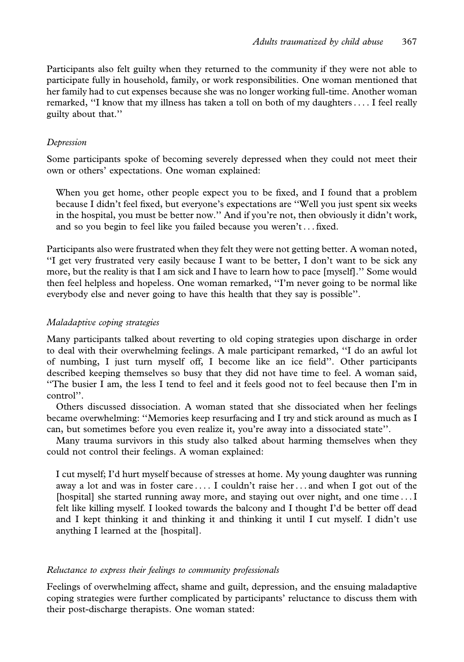Participants also felt guilty when they returned to the community if they were not able to participate fully in household, family, or work responsibilities. One woman mentioned that her family had to cut expenses because she was no longer working full-time. Another woman remarked, ''I know that my illness has taken a toll on both of my daughters. . . . I feel really guilty about that.''

#### Depression

Some participants spoke of becoming severely depressed when they could not meet their own or others' expectations. One woman explained:

When you get home, other people expect you to be fixed, and I found that a problem because I didn't feel fixed, but everyone's expectations are ''Well you just spent six weeks in the hospital, you must be better now.'' And if you're not, then obviously it didn't work, and so you begin to feel like you failed because you weren't . . . fixed.

Participants also were frustrated when they felt they were not getting better. A woman noted, ''I get very frustrated very easily because I want to be better, I don't want to be sick any more, but the reality is that I am sick and I have to learn how to pace [myself].'' Some would then feel helpless and hopeless. One woman remarked, ''I'm never going to be normal like everybody else and never going to have this health that they say is possible''.

### Maladaptive coping strategies

Many participants talked about reverting to old coping strategies upon discharge in order to deal with their overwhelming feelings. A male participant remarked, ''I do an awful lot of numbing, I just turn myself off, I become like an ice field''. Other participants described keeping themselves so busy that they did not have time to feel. A woman said, ''The busier I am, the less I tend to feel and it feels good not to feel because then I'm in control''.

Others discussed dissociation. A woman stated that she dissociated when her feelings became overwhelming: ''Memories keep resurfacing and I try and stick around as much as I can, but sometimes before you even realize it, you're away into a dissociated state''.

Many trauma survivors in this study also talked about harming themselves when they could not control their feelings. A woman explained:

I cut myself; I'd hurt myself because of stresses at home. My young daughter was running away a lot and was in foster care . . . . I couldn't raise her . . . and when I got out of the [hospital] she started running away more, and staying out over night, and one time . . . I felt like killing myself. I looked towards the balcony and I thought I'd be better off dead and I kept thinking it and thinking it and thinking it until I cut myself. I didn't use anything I learned at the [hospital].

#### Reluctance to express their feelings to community professionals

Feelings of overwhelming affect, shame and guilt, depression, and the ensuing maladaptive coping strategies were further complicated by participants' reluctance to discuss them with their post-discharge therapists. One woman stated: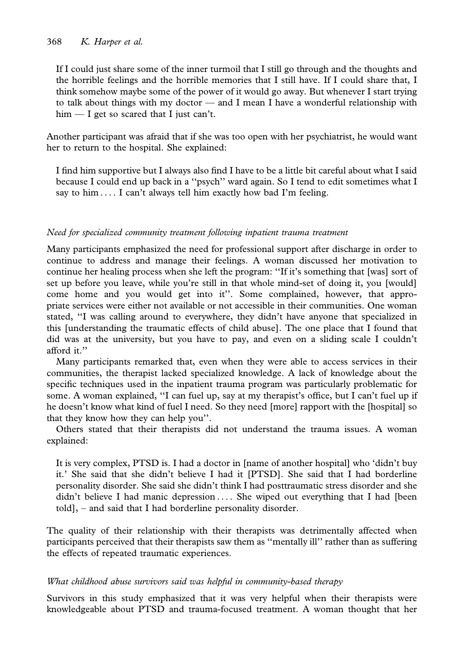If I could just share some of the inner turmoil that I still go through and the thoughts and the horrible feelings and the horrible memories that I still have. If I could share that, I think somehow maybe some of the power of it would go away. But whenever I start trying to talk about things with my doctor — and I mean I have a wonderful relationship with  $him - I$  get so scared that I just can't.

Another participant was afraid that if she was too open with her psychiatrist, he would want her to return to the hospital. She explained:

I find him supportive but I always also find I have to be a little bit careful about what I said because I could end up back in a ''psych'' ward again. So I tend to edit sometimes what I say to him . . . . I can't always tell him exactly how bad I'm feeling.

## Need for specialized community treatment following inpatient trauma treatment

Many participants emphasized the need for professional support after discharge in order to continue to address and manage their feelings. A woman discussed her motivation to continue her healing process when she left the program: ''If it's something that [was] sort of set up before you leave, while you're still in that whole mind-set of doing it, you [would] come home and you would get into it''. Some complained, however, that appropriate services were either not available or not accessible in their communities. One woman stated, ''I was calling around to everywhere, they didn't have anyone that specialized in this [understanding the traumatic effects of child abuse]. The one place that I found that did was at the university, but you have to pay, and even on a sliding scale I couldn't afford it.''

Many participants remarked that, even when they were able to access services in their communities, the therapist lacked specialized knowledge. A lack of knowledge about the specific techniques used in the inpatient trauma program was particularly problematic for some. A woman explained, ''I can fuel up, say at my therapist's office, but I can't fuel up if he doesn't know what kind of fuel I need. So they need [more] rapport with the [hospital] so that they know how they can help you''.

Others stated that their therapists did not understand the trauma issues. A woman explained:

It is very complex, PTSD is. I had a doctor in [name of another hospital] who 'didn't buy it.' She said that she didn't believe I had it [PTSD]. She said that I had borderline personality disorder. She said she didn't think I had posttraumatic stress disorder and she didn't believe I had manic depression .... She wiped out everything that I had [been told], – and said that I had borderline personality disorder.

The quality of their relationship with their therapists was detrimentally affected when participants perceived that their therapists saw them as ''mentally ill'' rather than as suffering the effects of repeated traumatic experiences.

## What childhood abuse survivors said was helpful in community-based therapy

Survivors in this study emphasized that it was very helpful when their therapists were knowledgeable about PTSD and trauma-focused treatment. A woman thought that her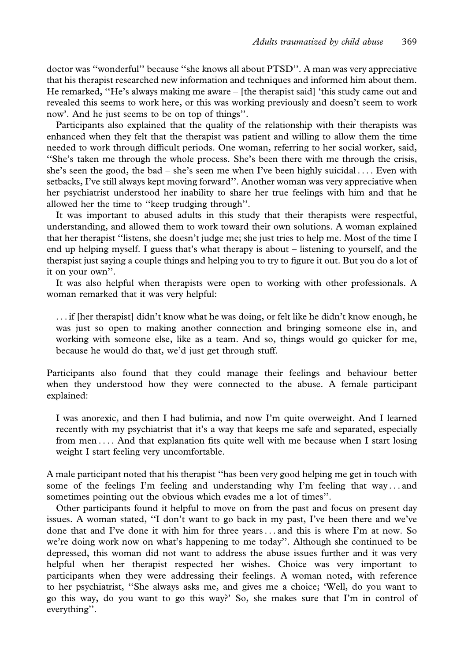doctor was ''wonderful'' because ''she knows all about PTSD''. A man was very appreciative that his therapist researched new information and techniques and informed him about them. He remarked, ''He's always making me aware – [the therapist said] 'this study came out and revealed this seems to work here, or this was working previously and doesn't seem to work now'. And he just seems to be on top of things''.

Participants also explained that the quality of the relationship with their therapists was enhanced when they felt that the therapist was patient and willing to allow them the time needed to work through difficult periods. One woman, referring to her social worker, said, ''She's taken me through the whole process. She's been there with me through the crisis, she's seen the good, the bad – she's seen me when I've been highly suicidal  $\dots$ . Even with setbacks, I've still always kept moving forward''. Another woman was very appreciative when her psychiatrist understood her inability to share her true feelings with him and that he allowed her the time to ''keep trudging through''.

It was important to abused adults in this study that their therapists were respectful, understanding, and allowed them to work toward their own solutions. A woman explained that her therapist ''listens, she doesn't judge me; she just tries to help me. Most of the time I end up helping myself. I guess that's what therapy is about – listening to yourself, and the therapist just saying a couple things and helping you to try to figure it out. But you do a lot of it on your own''.

It was also helpful when therapists were open to working with other professionals. A woman remarked that it was very helpful:

. . . if [her therapist] didn't know what he was doing, or felt like he didn't know enough, he was just so open to making another connection and bringing someone else in, and working with someone else, like as a team. And so, things would go quicker for me, because he would do that, we'd just get through stuff.

Participants also found that they could manage their feelings and behaviour better when they understood how they were connected to the abuse. A female participant explained:

I was anorexic, and then I had bulimia, and now I'm quite overweight. And I learned recently with my psychiatrist that it's a way that keeps me safe and separated, especially from men.... And that explanation fits quite well with me because when I start losing weight I start feeling very uncomfortable.

A male participant noted that his therapist ''has been very good helping me get in touch with some of the feelings I'm feeling and understanding why I'm feeling that way...and sometimes pointing out the obvious which evades me a lot of times''.

Other participants found it helpful to move on from the past and focus on present day issues. A woman stated, ''I don't want to go back in my past, I've been there and we've done that and I've done it with him for three years . . . and this is where I'm at now. So we're doing work now on what's happening to me today''. Although she continued to be depressed, this woman did not want to address the abuse issues further and it was very helpful when her therapist respected her wishes. Choice was very important to participants when they were addressing their feelings. A woman noted, with reference to her psychiatrist, ''She always asks me, and gives me a choice; 'Well, do you want to go this way, do you want to go this way?' So, she makes sure that I'm in control of everything''.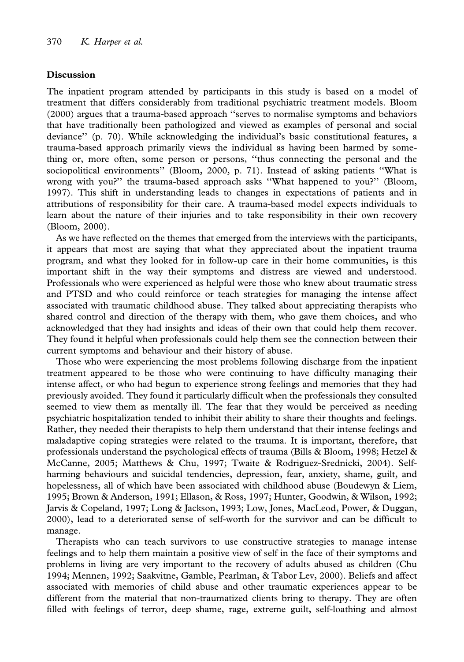#### **Discussion**

The inpatient program attended by participants in this study is based on a model of treatment that differs considerably from traditional psychiatric treatment models. Bloom (2000) argues that a trauma-based approach ''serves to normalise symptoms and behaviors that have traditionally been pathologized and viewed as examples of personal and social deviance'' (p. 70). While acknowledging the individual's basic constitutional features, a trauma-based approach primarily views the individual as having been harmed by something or, more often, some person or persons, ''thus connecting the personal and the sociopolitical environments'' (Bloom, 2000, p. 71). Instead of asking patients ''What is wrong with you?'' the trauma-based approach asks ''What happened to you?'' (Bloom, 1997). This shift in understanding leads to changes in expectations of patients and in attributions of responsibility for their care. A trauma-based model expects individuals to learn about the nature of their injuries and to take responsibility in their own recovery (Bloom, 2000).

As we have reflected on the themes that emerged from the interviews with the participants, it appears that most are saying that what they appreciated about the inpatient trauma program, and what they looked for in follow-up care in their home communities, is this important shift in the way their symptoms and distress are viewed and understood. Professionals who were experienced as helpful were those who knew about traumatic stress and PTSD and who could reinforce or teach strategies for managing the intense affect associated with traumatic childhood abuse. They talked about appreciating therapists who shared control and direction of the therapy with them, who gave them choices, and who acknowledged that they had insights and ideas of their own that could help them recover. They found it helpful when professionals could help them see the connection between their current symptoms and behaviour and their history of abuse.

Those who were experiencing the most problems following discharge from the inpatient treatment appeared to be those who were continuing to have difficulty managing their intense affect, or who had begun to experience strong feelings and memories that they had previously avoided. They found it particularly difficult when the professionals they consulted seemed to view them as mentally ill. The fear that they would be perceived as needing psychiatric hospitalization tended to inhibit their ability to share their thoughts and feelings. Rather, they needed their therapists to help them understand that their intense feelings and maladaptive coping strategies were related to the trauma. It is important, therefore, that professionals understand the psychological effects of trauma (Bills & Bloom, 1998; Hetzel & McCanne, 2005; Matthews & Chu, 1997; Twaite & Rodriguez-Srednicki, 2004). Selfharming behaviours and suicidal tendencies, depression, fear, anxiety, shame, guilt, and hopelessness, all of which have been associated with childhood abuse (Boudewyn & Liem, 1995; Brown & Anderson, 1991; Ellason, & Ross, 1997; Hunter, Goodwin, & Wilson, 1992; Jarvis & Copeland, 1997; Long & Jackson, 1993; Low, Jones, MacLeod, Power, & Duggan, 2000), lead to a deteriorated sense of self-worth for the survivor and can be difficult to manage.

Therapists who can teach survivors to use constructive strategies to manage intense feelings and to help them maintain a positive view of self in the face of their symptoms and problems in living are very important to the recovery of adults abused as children (Chu 1994; Mennen, 1992; Saakvitne, Gamble, Pearlman, & Tabor Lev, 2000). Beliefs and affect associated with memories of child abuse and other traumatic experiences appear to be different from the material that non-traumatized clients bring to therapy. They are often filled with feelings of terror, deep shame, rage, extreme guilt, self-loathing and almost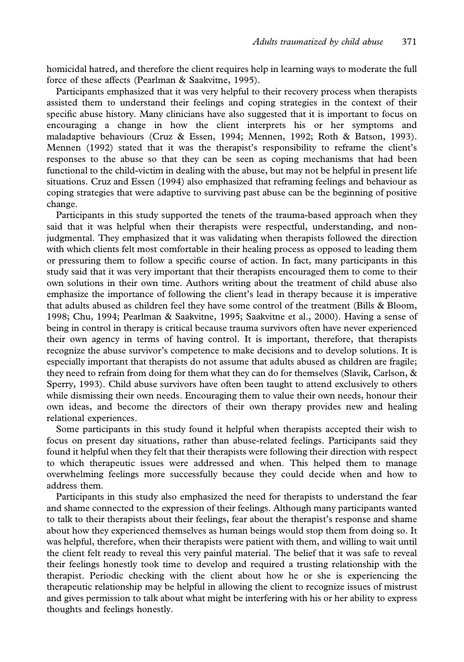homicidal hatred, and therefore the client requires help in learning ways to moderate the full force of these affects (Pearlman & Saakvitne, 1995).

Participants emphasized that it was very helpful to their recovery process when therapists assisted them to understand their feelings and coping strategies in the context of their specific abuse history. Many clinicians have also suggested that it is important to focus on encouraging a change in how the client interprets his or her symptoms and maladaptive behaviours (Cruz & Essen, 1994; Mennen, 1992; Roth & Batson, 1993). Mennen (1992) stated that it was the therapist's responsibility to reframe the client's responses to the abuse so that they can be seen as coping mechanisms that had been functional to the child-victim in dealing with the abuse, but may not be helpful in present life situations. Cruz and Essen (1994) also emphasized that reframing feelings and behaviour as coping strategies that were adaptive to surviving past abuse can be the beginning of positive change.

Participants in this study supported the tenets of the trauma-based approach when they said that it was helpful when their therapists were respectful, understanding, and nonjudgmental. They emphasized that it was validating when therapists followed the direction with which clients felt most comfortable in their healing process as opposed to leading them or pressuring them to follow a specific course of action. In fact, many participants in this study said that it was very important that their therapists encouraged them to come to their own solutions in their own time. Authors writing about the treatment of child abuse also emphasize the importance of following the client's lead in therapy because it is imperative that adults abused as children feel they have some control of the treatment (Bills & Bloom, 1998; Chu, 1994; Pearlman & Saakvitne, 1995; Saakvitne et al., 2000). Having a sense of being in control in therapy is critical because trauma survivors often have never experienced their own agency in terms of having control. It is important, therefore, that therapists recognize the abuse survivor's competence to make decisions and to develop solutions. It is especially important that therapists do not assume that adults abused as children are fragile; they need to refrain from doing for them what they can do for themselves (Slavik, Carlson, & Sperry, 1993). Child abuse survivors have often been taught to attend exclusively to others while dismissing their own needs. Encouraging them to value their own needs, honour their own ideas, and become the directors of their own therapy provides new and healing relational experiences.

Some participants in this study found it helpful when therapists accepted their wish to focus on present day situations, rather than abuse-related feelings. Participants said they found it helpful when they felt that their therapists were following their direction with respect to which therapeutic issues were addressed and when. This helped them to manage overwhelming feelings more successfully because they could decide when and how to address them.

Participants in this study also emphasized the need for therapists to understand the fear and shame connected to the expression of their feelings. Although many participants wanted to talk to their therapists about their feelings, fear about the therapist's response and shame about how they experienced themselves as human beings would stop them from doing so. It was helpful, therefore, when their therapists were patient with them, and willing to wait until the client felt ready to reveal this very painful material. The belief that it was safe to reveal their feelings honestly took time to develop and required a trusting relationship with the therapist. Periodic checking with the client about how he or she is experiencing the therapeutic relationship may be helpful in allowing the client to recognize issues of mistrust and gives permission to talk about what might be interfering with his or her ability to express thoughts and feelings honestly.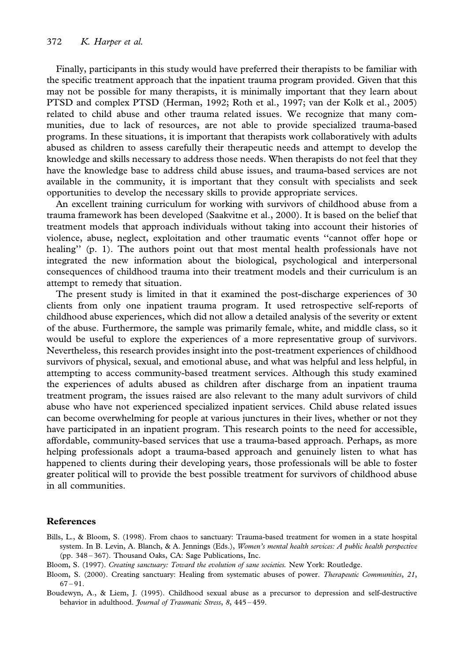Finally, participants in this study would have preferred their therapists to be familiar with the specific treatment approach that the inpatient trauma program provided. Given that this may not be possible for many therapists, it is minimally important that they learn about PTSD and complex PTSD (Herman, 1992; Roth et al., 1997; van der Kolk et al., 2005) related to child abuse and other trauma related issues. We recognize that many communities, due to lack of resources, are not able to provide specialized trauma-based programs. In these situations, it is important that therapists work collaboratively with adults abused as children to assess carefully their therapeutic needs and attempt to develop the knowledge and skills necessary to address those needs. When therapists do not feel that they have the knowledge base to address child abuse issues, and trauma-based services are not available in the community, it is important that they consult with specialists and seek opportunities to develop the necessary skills to provide appropriate services.

An excellent training curriculum for working with survivors of childhood abuse from a trauma framework has been developed (Saakvitne et al., 2000). It is based on the belief that treatment models that approach individuals without taking into account their histories of violence, abuse, neglect, exploitation and other traumatic events ''cannot offer hope or healing'' (p. 1). The authors point out that most mental health professionals have not integrated the new information about the biological, psychological and interpersonal consequences of childhood trauma into their treatment models and their curriculum is an attempt to remedy that situation.

The present study is limited in that it examined the post-discharge experiences of 30 clients from only one inpatient trauma program. It used retrospective self-reports of childhood abuse experiences, which did not allow a detailed analysis of the severity or extent of the abuse. Furthermore, the sample was primarily female, white, and middle class, so it would be useful to explore the experiences of a more representative group of survivors. Nevertheless, this research provides insight into the post-treatment experiences of childhood survivors of physical, sexual, and emotional abuse, and what was helpful and less helpful, in attempting to access community-based treatment services. Although this study examined the experiences of adults abused as children after discharge from an inpatient trauma treatment program, the issues raised are also relevant to the many adult survivors of child abuse who have not experienced specialized inpatient services. Child abuse related issues can become overwhelming for people at various junctures in their lives, whether or not they have participated in an inpatient program. This research points to the need for accessible, affordable, community-based services that use a trauma-based approach. Perhaps, as more helping professionals adopt a trauma-based approach and genuinely listen to what has happened to clients during their developing years, those professionals will be able to foster greater political will to provide the best possible treatment for survivors of childhood abuse in all communities.

#### References

- Bills, L., & Bloom, S. (1998). From chaos to sanctuary: Trauma-based treatment for women in a state hospital system. In B. Levin, A. Blanch, & A. Jennings (Eds.), Women's mental health services: A public health perspective (pp. 348 – 367). Thousand Oaks, CA: Sage Publications, Inc.
- Bloom, S. (1997). Creating sanctuary: Toward the evolution of sane societies. New York: Routledge.
- Bloom, S. (2000). Creating sanctuary: Healing from systematic abuses of power. Therapeutic Communities, 21,  $67 - 91.$

Boudewyn, A., & Liem, J. (1995). Childhood sexual abuse as a precursor to depression and self-destructive behavior in adulthood. Journal of Traumatic Stress, 8, 445-459.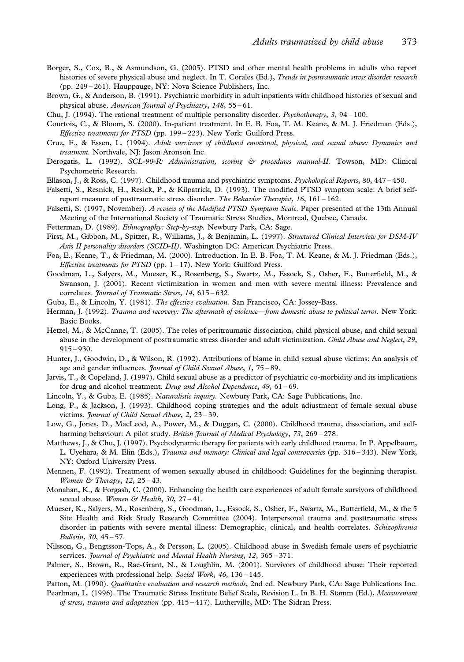- Borger, S., Cox, B., & Asmundson, G. (2005). PTSD and other mental health problems in adults who report histories of severe physical abuse and neglect. In T. Corales (Ed.), Trends in posttraumatic stress disorder research (pp. 249 – 261). Hauppauge, NY: Nova Science Publishers, Inc.
- Brown, G., & Anderson, B. (1991). Psychiatric morbidity in adult inpatients with childhood histories of sexual and physical abuse. American Journal of Psychiatry, 148, 55-61.
- Chu, J. (1994). The rational treatment of multiple personality disorder. Psychotherapy, 3, 94 100.
- Courtois, C., & Bloom, S. (2000). In-patient treatment. In E. B. Foa, T. M. Keane, & M. J. Friedman (Eds.), Effective treatments for PTSD (pp. 199 – 223). New York: Guilford Press.
- Cruz, F., & Essen, L. (1994). Adult survivors of childhood emotional, physical, and sexual abuse: Dynamics and treatment. Northvale, NJ: Jason Aronson Inc.
- Derogatis, L. (1992). SCL-90-R: Administration, scoring & procedures manual-II. Towson, MD: Clinical Psychometric Research.
- Ellason, J., & Ross, C. (1997). Childhood trauma and psychiatric symptoms. Psychological Reports, 80, 447-450.
- Falsetti, S., Resnick, H., Resick, P., & Kilpatrick, D. (1993). The modified PTSD symptom scale: A brief selfreport measure of posttraumatic stress disorder. The Behavior Therapist, 16, 161 – 162.
- Falsetti, S. (1997, November). A review of the Modified PTSD Symptom Scale. Paper presented at the 13th Annual Meeting of the International Society of Traumatic Stress Studies, Montreal, Quebec, Canada.
- Fetterman, D. (1989). Ethnography: Step-by-step. Newbury Park, CA: Sage.
- First, M., Gibbon, M., Spitzer, R., Williams, J., & Benjamin, L. (1997). Structured Clinical Interview for DSM-IV Axis II personality disorders (SCID-II). Washington DC: American Psychiatric Press.
- Foa, E., Keane, T., & Friedman, M. (2000). Introduction. In E. B. Foa, T. M. Keane, & M. J. Friedman (Eds.), *Effective treatments for PTSD* (pp.  $1-17$ ). New York: Guilford Press.
- Goodman, L., Salyers, M., Mueser, K., Rosenberg, S., Swartz, M., Essock, S., Osher, F., Butterfield, M., & Swanson, J. (2001). Recent victimization in women and men with severe mental illness: Prevalence and correlates. Journal of Traumatic Stress, 14, 615-632.
- Guba, E., & Lincoln, Y. (1981). The effective evaluation. San Francisco, CA: Jossey-Bass.
- Herman, J. (1992). Trauma and recovery: The aftermath of violence—from domestic abuse to political terror. New York: Basic Books.
- Hetzel, M., & McCanne, T. (2005). The roles of peritraumatic dissociation, child physical abuse, and child sexual abuse in the development of posttraumatic stress disorder and adult victimization. Child Abuse and Neglect, 29,  $915 - 930$
- Hunter, J., Goodwin, D., & Wilson, R. (1992). Attributions of blame in child sexual abuse victims: An analysis of age and gender influences. *Journal of Child Sexual Abuse*, 1, 75 – 89.
- Jarvis, T., & Copeland, J. (1997). Child sexual abuse as a predictor of psychiatric co-morbidity and its implications for drug and alcohol treatment. Drug and Alcohol Dependence, 49, 61 – 69.
- Lincoln, Y., & Guba, E. (1985). Naturalistic inquiry. Newbury Park, CA: Sage Publications, Inc.
- Long, P., & Jackson, J. (1993). Childhood coping strategies and the adult adjustment of female sexual abuse victims. Journal of Child Sexual Abuse, 2, 23-39.
- Low, G., Jones, D., MacLeod, A., Power, M., & Duggan, C. (2000). Childhood trauma, dissociation, and selfharming behaviour: A pilot study. British *Journal of Medical Psychology*, 73, 269–278.
- Matthews, J., & Chu, J. (1997). Psychodynamic therapy for patients with early childhood trauma. In P. Appelbaum, L. Uyehara, & M. Elin (Eds.), Trauma and memory: Clinical and legal controversies (pp. 316 – 343). New York, NY: Oxford University Press.
- Mennen, F. (1992). Treatment of women sexually abused in childhood: Guidelines for the beginning therapist. Women & Therapy,  $12$ ,  $25-43$ .
- Monahan, K., & Forgash, C. (2000). Enhancing the health care experiences of adult female survivors of childhood sexual abuse. Women & Health, 30,  $27-41$ .
- Mueser, K., Salyers, M., Rosenberg, S., Goodman, L., Essock, S., Osher, F., Swartz, M., Butterfield, M., & the 5 Site Health and Risk Study Research Committee (2004). Interpersonal trauma and posttraumatic stress disorder in patients with severe mental illness: Demographic, clinical, and health correlates. Schizophrenia Bulletin, 30, 45 – 57.
- Nilsson, G., Bengtsson-Tops, A., & Persson, L. (2005). Childhood abuse in Swedish female users of psychiatric services. Journal of Psychiatric and Mental Health Nursing, 12, 365 - 371.
- Palmer, S., Brown, R., Rae-Grant, N., & Loughlin, M. (2001). Survivors of childhood abuse: Their reported experiences with professional help. Social Work, 46, 136-145.

Patton, M. (1990). Qualitative evaluation and research methods, 2nd ed. Newbury Park, CA: Sage Publications Inc.

Pearlman, L. (1996). The Traumatic Stress Institute Belief Scale, Revision L. In B. H. Stamm (Ed.), Measurement of stress, trauma and adaptation (pp. 415 – 417). Lutherville, MD: The Sidran Press.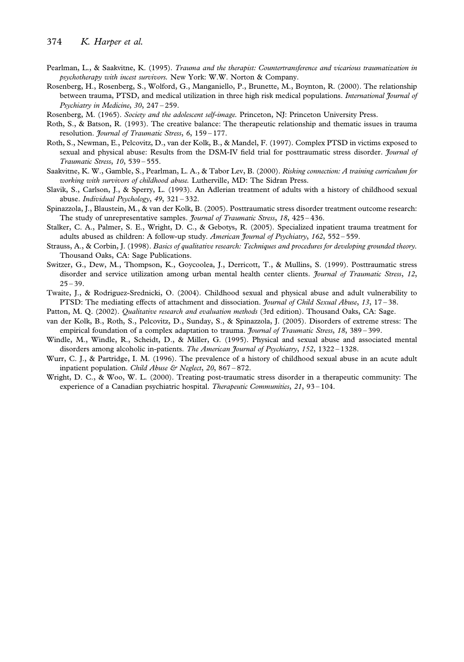- Pearlman, L., & Saakvitne, K. (1995). Trauma and the therapist: Countertransference and vicarious traumatization in psychotherapy with incest survivors. New York: W.W. Norton & Company.
- Rosenberg, H., Rosenberg, S., Wolford, G., Manganiello, P., Brunette, M., Boynton, R. (2000). The relationship between trauma, PTSD, and medical utilization in three high risk medical populations. International Journal of Psychiatry in Medicine, 30, 247 – 259.
- Rosenberg, M. (1965). Society and the adolescent self-image. Princeton, NJ: Princeton University Press.
- Roth, S., & Batson, R. (1993). The creative balance: The therapeutic relationship and thematic issues in trauma resolution. Journal of Traumatic Stress, 6, 159-177.
- Roth, S., Newman, E., Pelcovitz, D., van der Kolk, B., & Mandel, F. (1997). Complex PTSD in victims exposed to sexual and physical abuse: Results from the DSM-IV field trial for posttraumatic stress disorder. *Journal of* Traumatic Stress, 10, 539 – 555.
- Saakvitne, K. W., Gamble, S., Pearlman, L. A., & Tabor Lev, B. (2000). Risking connection: A training curriculum for working with survivors of childhood abuse. Lutherville, MD: The Sidran Press.
- Slavik, S., Carlson, J., & Sperry, L. (1993). An Adlerian treatment of adults with a history of childhood sexual abuse. Individual Psychology, 49, 321 – 332.
- Spinazzola, J., Blaustein, M., & van der Kolk, B. (2005). Posttraumatic stress disorder treatment outcome research: The study of unrepresentative samples. *Journal of Traumatic Stress*, 18, 425 - 436.
- Stalker, C. A., Palmer, S. E., Wright, D. C., & Gebotys, R. (2005). Specialized inpatient trauma treatment for adults abused as children: A follow-up study. American Journal of Psychiatry, 162, 552-559.
- Strauss, A., & Corbin, J. (1998). Basics of qualitative research: Techniques and procedures for developing grounded theory. Thousand Oaks, CA: Sage Publications.
- Switzer, G., Dew, M., Thompson, K., Goycoolea, J., Derricott, T., & Mullins, S. (1999). Posttraumatic stress disorder and service utilization among urban mental health center clients. *Journal of Traumatic Stress*, 12,  $25 - 39.$
- Twaite, J., & Rodriguez-Srednicki, O. (2004). Childhood sexual and physical abuse and adult vulnerability to PTSD: The mediating effects of attachment and dissociation. *Journal of Child Sexual Abuse*, 13, 17 – 38.
- Patton, M. Q. (2002). Qualitative research and evaluation methods (3rd edition). Thousand Oaks, CA: Sage.
- van der Kolk, B., Roth, S., Pelcovitz, D., Sunday, S., & Spinazzola, J. (2005). Disorders of extreme stress: The empirical foundation of a complex adaptation to trauma. *Journal of Traumatic Stress*, 18, 389 – 399.
- Windle, M., Windle, R., Scheidt, D., & Miller, G. (1995). Physical and sexual abuse and associated mental disorders among alcoholic in-patients. The American Journal of Psychiatry, 152, 1322 - 1328.
- Wurr, C. J., & Partridge, I. M. (1996). The prevalence of a history of childhood sexual abuse in an acute adult inpatient population. Child Abuse & Neglect, 20, 867-872.
- Wright, D. C., & Woo, W. L. (2000). Treating post-traumatic stress disorder in a therapeutic community: The experience of a Canadian psychiatric hospital. Therapeutic Communities, 21, 93-104.